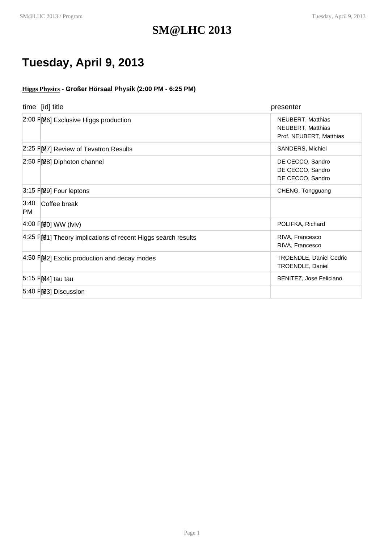## **SM@LHC 2013**

## **Tuesday, April 9, 2013**

**Higgs Physics - Großer Hörsaal Physik (2:00 PM - 6:25 PM)**

| time [id] title                                                 | presenter                                                         |
|-----------------------------------------------------------------|-------------------------------------------------------------------|
| 2:00 FM6] Exclusive Higgs production                            | NEUBERT, Matthias<br>NEUBERT, Matthias<br>Prof. NEUBERT, Matthias |
| 2:25 PM7] Review of Tevatron Results                            | SANDERS, Michiel                                                  |
| 2:50 FM8] Diphoton channel                                      | DE CECCO, Sandro<br>DE CECCO, Sandro<br>DE CECCO, Sandro          |
| 3:15 FM9] Four leptons                                          | CHENG, Tongguang                                                  |
| 3:40<br>Coffee break<br><b>PM</b>                               |                                                                   |
| 4:00 P <b>M</b> <sub>0</sub> WW (IvIv)                          | POLIFKA, Richard                                                  |
| $4.25$ F[01] Theory implications of recent Higgs search results | RIVA, Francesco<br>RIVA, Francesco                                |
| 4:50 FM2] Exotic production and decay modes                     | <b>TROENDLE, Daniel Cedric</b><br>TROENDLE, Daniel                |
| 5:15 F <sub>1</sub> 04] tau tau                                 | BENITEZ, Jose Feliciano                                           |
| 5:40 PM3] Discussion                                            |                                                                   |